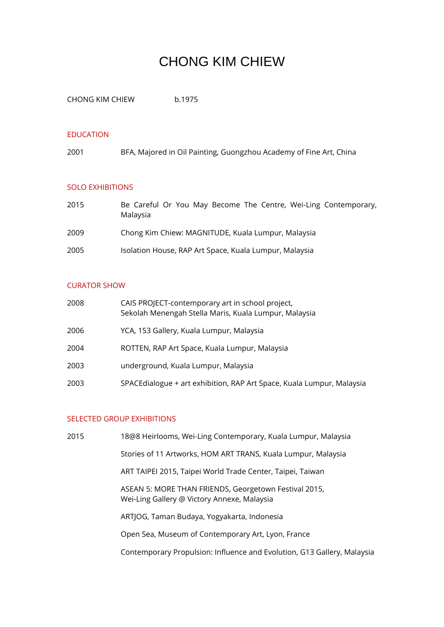# CHONG KIM CHIEW

CHONG KIM CHIEW b.1975

#### EDUCATION

2001 BFA, Majored in Oil Painting, Guongzhou Academy of Fine Art, China

### SOLO EXHIBITIONS

| 2015 | Be Careful Or You May Become The Centre, Wei-Ling Contemporary,<br>Malaysia |
|------|-----------------------------------------------------------------------------|
| 2009 | Chong Kim Chiew: MAGNITUDE, Kuala Lumpur, Malaysia                          |
| 2005 | Isolation House, RAP Art Space, Kuala Lumpur, Malaysia                      |

## CURATOR SHOW

| 2008 | CAIS PROJECT-contemporary art in school project,<br>Sekolah Menengah Stella Maris, Kuala Lumpur, Malaysia |
|------|-----------------------------------------------------------------------------------------------------------|
| 2006 | YCA, 153 Gallery, Kuala Lumpur, Malaysia                                                                  |
| 2004 | ROTTEN, RAP Art Space, Kuala Lumpur, Malaysia                                                             |
| 2003 | underground, Kuala Lumpur, Malaysia                                                                       |
| 2003 | SPACEdialogue + art exhibition, RAP Art Space, Kuala Lumpur, Malaysia                                     |

#### SELECTED GROUP EXHIBITIONS

2015 18@8 Heirlooms, Wei-Ling Contemporary, Kuala Lumpur, Malaysia Stories of 11 Artworks, HOM ART TRANS, Kuala Lumpur, Malaysia ART TAIPEI 2015, Taipei World Trade Center, Taipei, Taiwan ASEAN 5: MORE THAN FRIENDS, Georgetown Festival 2015, Wei-Ling Gallery @ Victory Annexe, Malaysia ARTJOG, Taman Budaya, Yogyakarta, Indonesia Open Sea, Museum of Contemporary Art, Lyon, France Contemporary Propulsion: Influence and Evolution, G13 Gallery, Malaysia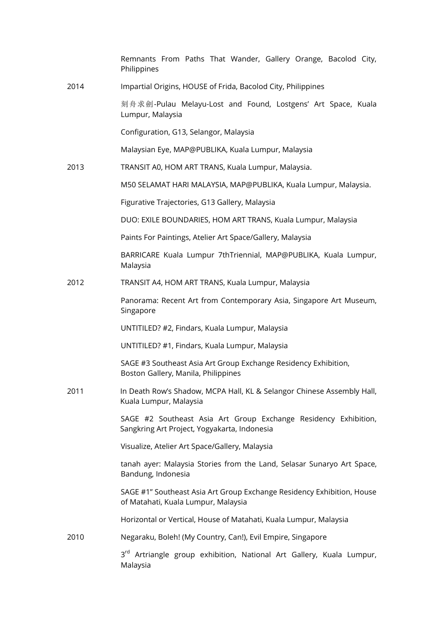Remnants From Paths That Wander, Gallery Orange, Bacolod City, **Philippines** 

2014 Impartial Origins, HOUSE of Frida, Bacolod City, Philippines

刻舟求劍-Pulau Melayu-Lost and Found, Lostgens' Art Space, Kuala Lumpur, Malaysia

Configuration, G13, Selangor, Malaysia

Malaysian Eye, MAP@PUBLIKA, Kuala Lumpur, Malaysia

2013 TRANSIT A0, HOM ART TRANS, Kuala Lumpur, Malaysia.

M50 SELAMAT HARI MALAYSIA, MAP@PUBLIKA, Kuala Lumpur, Malaysia.

Figurative Trajectories, G13 Gallery, Malaysia

DUO: EXILE BOUNDARIES, HOM ART TRANS, Kuala Lumpur, Malaysia

Paints For Paintings, Atelier Art Space/Gallery, Malaysia

BARRICARE Kuala Lumpur 7thTriennial, MAP@PUBLIKA, Kuala Lumpur, Malaysia

2012 TRANSIT A4, HOM ART TRANS, Kuala Lumpur, Malaysia

Panorama: Recent Art from Contemporary Asia, Singapore Art Museum, Singapore

UNTITILED? #2, Findars, Kuala Lumpur, Malaysia

UNTITILED? #1, Findars, Kuala Lumpur, Malaysia

SAGE #3 Southeast Asia Art Group Exchange Residency Exhibition, Boston Gallery, Manila, Philippines

2011 In Death Row's Shadow, MCPA Hall, KL & Selangor Chinese Assembly Hall, Kuala Lumpur, Malaysia

> SAGE #2 Southeast Asia Art Group Exchange Residency Exhibition, Sangkring Art Project, Yogyakarta, Indonesia

Visualize, Atelier Art Space/Gallery, Malaysia

tanah ayer: Malaysia Stories from the Land, Selasar Sunaryo Art Space, Bandung, Indonesia

SAGE #1" Southeast Asia Art Group Exchange Residency Exhibition, House of Matahati, Kuala Lumpur, Malaysia

Horizontal or Vertical, House of Matahati, Kuala Lumpur, Malaysia

2010 Negaraku, Boleh! (My Country, Can!), Evil Empire, Singapore

3<sup>rd</sup> Artriangle group exhibition, National Art Gallery, Kuala Lumpur, Malaysia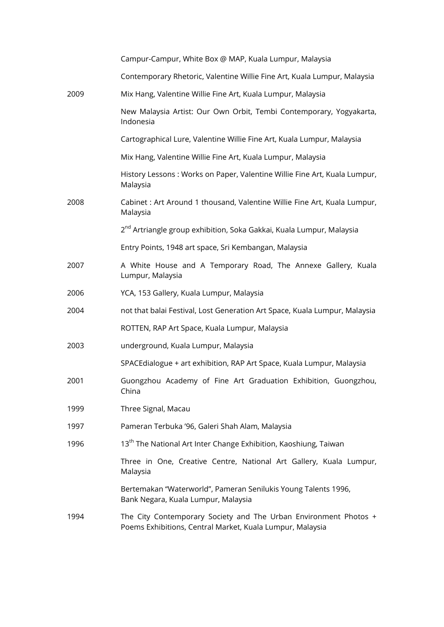|      | Campur-Campur, White Box @ MAP, Kuala Lumpur, Malaysia                                                                        |
|------|-------------------------------------------------------------------------------------------------------------------------------|
|      | Contemporary Rhetoric, Valentine Willie Fine Art, Kuala Lumpur, Malaysia                                                      |
| 2009 | Mix Hang, Valentine Willie Fine Art, Kuala Lumpur, Malaysia                                                                   |
|      | New Malaysia Artist: Our Own Orbit, Tembi Contemporary, Yogyakarta,<br>Indonesia                                              |
|      | Cartographical Lure, Valentine Willie Fine Art, Kuala Lumpur, Malaysia                                                        |
|      | Mix Hang, Valentine Willie Fine Art, Kuala Lumpur, Malaysia                                                                   |
|      | History Lessons: Works on Paper, Valentine Willie Fine Art, Kuala Lumpur,<br>Malaysia                                         |
| 2008 | Cabinet : Art Around 1 thousand, Valentine Willie Fine Art, Kuala Lumpur,<br>Malaysia                                         |
|      | 2 <sup>nd</sup> Artriangle group exhibition, Soka Gakkai, Kuala Lumpur, Malaysia                                              |
|      | Entry Points, 1948 art space, Sri Kembangan, Malaysia                                                                         |
| 2007 | A White House and A Temporary Road, The Annexe Gallery, Kuala<br>Lumpur, Malaysia                                             |
| 2006 | YCA, 153 Gallery, Kuala Lumpur, Malaysia                                                                                      |
| 2004 | not that balai Festival, Lost Generation Art Space, Kuala Lumpur, Malaysia                                                    |
|      | ROTTEN, RAP Art Space, Kuala Lumpur, Malaysia                                                                                 |
| 2003 | underground, Kuala Lumpur, Malaysia                                                                                           |
|      | SPACEdialogue + art exhibition, RAP Art Space, Kuala Lumpur, Malaysia                                                         |
| 2001 | Guongzhou Academy of Fine Art Graduation Exhibition, Guongzhou,<br>China                                                      |
| 1999 | Three Signal, Macau                                                                                                           |
| 1997 | Pameran Terbuka '96, Galeri Shah Alam, Malaysia                                                                               |
| 1996 | 13 <sup>th</sup> The National Art Inter Change Exhibition, Kaoshiung, Taiwan                                                  |
|      | Three in One, Creative Centre, National Art Gallery, Kuala Lumpur,<br>Malaysia                                                |
|      | Bertemakan "Waterworld", Pameran Senilukis Young Talents 1996,<br>Bank Negara, Kuala Lumpur, Malaysia                         |
| 1994 | The City Contemporary Society and The Urban Environment Photos +<br>Poems Exhibitions, Central Market, Kuala Lumpur, Malaysia |